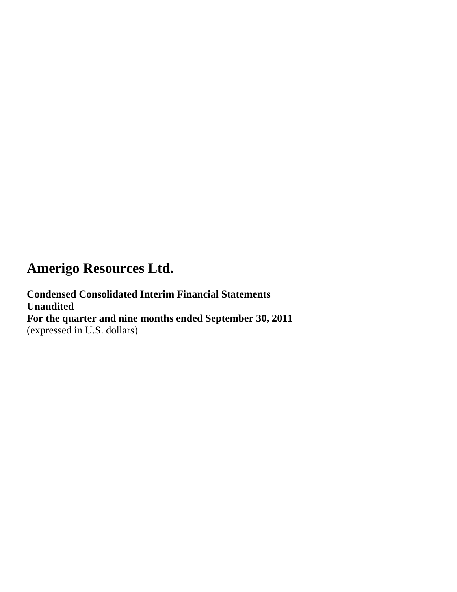**Condensed Consolidated Interim Financial Statements Unaudited For the quarter and nine months ended September 30, 2011** (expressed in U.S. dollars)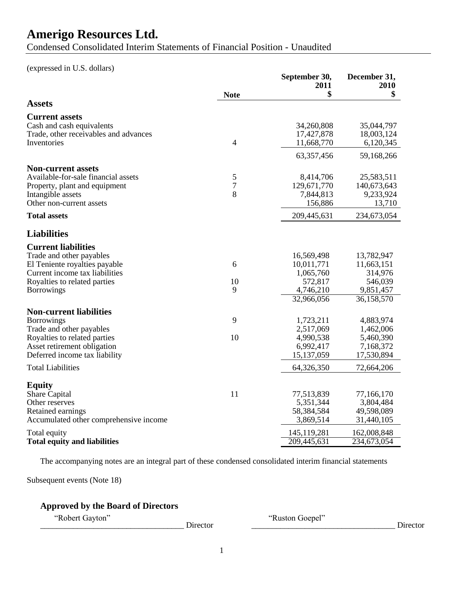Condensed Consolidated Interim Statements of Financial Position - Unaudited

(expressed in U.S. dollars)

|                                                                                                                        |                | September 30,<br>2011                              | December 31,<br>2010                                |
|------------------------------------------------------------------------------------------------------------------------|----------------|----------------------------------------------------|-----------------------------------------------------|
|                                                                                                                        | <b>Note</b>    | \$                                                 | \$                                                  |
| <b>Assets</b>                                                                                                          |                |                                                    |                                                     |
| <b>Current assets</b><br>Cash and cash equivalents<br>Trade, other receivables and advances<br>Inventories             | $\overline{4}$ | 34,260,808<br>17,427,878<br>11,668,770             | 35,044,797<br>18,003,124<br>6,120,345               |
|                                                                                                                        |                | 63,357,456                                         | 59,168,266                                          |
| <b>Non-current assets</b>                                                                                              |                |                                                    |                                                     |
| Available-for-sale financial assets                                                                                    | 5              | 8,414,706                                          | 25,583,511                                          |
| Property, plant and equipment<br>Intangible assets                                                                     | 7<br>8         | 129,671,770<br>7,844,813                           | 140,673,643<br>9,233,924                            |
| Other non-current assets                                                                                               |                | 156,886                                            | 13,710                                              |
| <b>Total assets</b>                                                                                                    |                | 209,445,631                                        | 234,673,054                                         |
| <b>Liabilities</b>                                                                                                     |                |                                                    |                                                     |
| <b>Current liabilities</b>                                                                                             |                |                                                    |                                                     |
| Trade and other payables                                                                                               |                | 16,569,498                                         | 13,782,947                                          |
| El Teniente royalties payable                                                                                          | 6              | 10,011,771                                         | 11,663,151                                          |
| Current income tax liabilities                                                                                         |                | 1,065,760                                          | 314,976                                             |
| Royalties to related parties                                                                                           | 10             | 572,817                                            | 546,039                                             |
| <b>Borrowings</b>                                                                                                      | 9              | 4,746,210<br>32,966,056                            | 9,851,457<br>36,158,570                             |
|                                                                                                                        |                |                                                    |                                                     |
| <b>Non-current liabilities</b>                                                                                         |                |                                                    |                                                     |
| <b>Borrowings</b>                                                                                                      | 9              | 1,723,211                                          | 4,883,974                                           |
| Trade and other payables                                                                                               | 10             | 2,517,069                                          | 1,462,006                                           |
| Royalties to related parties<br>Asset retirement obligation                                                            |                | 4,990,538<br>6,992,417                             | 5,460,390<br>7,168,372                              |
| Deferred income tax liability                                                                                          |                | 15,137,059                                         | 17,530,894                                          |
| <b>Total Liabilities</b>                                                                                               |                | 64,326,350                                         | 72,664,206                                          |
|                                                                                                                        |                |                                                    |                                                     |
| <b>Equity</b><br><b>Share Capital</b><br>Other reserves<br>Retained earnings<br>Accumulated other comprehensive income | 11             | 77,513,839<br>5,351,344<br>58,384,584<br>3,869,514 | 77,166,170<br>3,804,484<br>49,598,089<br>31,440,105 |
| Total equity                                                                                                           |                | 145,119,281                                        | 162,008,848                                         |
| <b>Total equity and liabilities</b>                                                                                    |                | 209,445,631                                        | 234,673,054                                         |

The accompanying notes are an integral part of these condensed consolidated interim financial statements

Subsequent events (Note 18)

## **Approved by the Board of Directors**

\_\_\_\_\_\_\_\_\_\_\_\_\_\_\_\_\_\_\_\_\_\_\_\_\_\_\_\_\_\_\_\_\_\_\_ Director \_\_\_\_\_\_\_\_\_\_\_\_\_\_\_\_\_\_\_\_\_\_\_\_\_\_\_\_\_\_\_\_\_\_\_ Director

―Robert Gayton‖ ―Ruston Goepel‖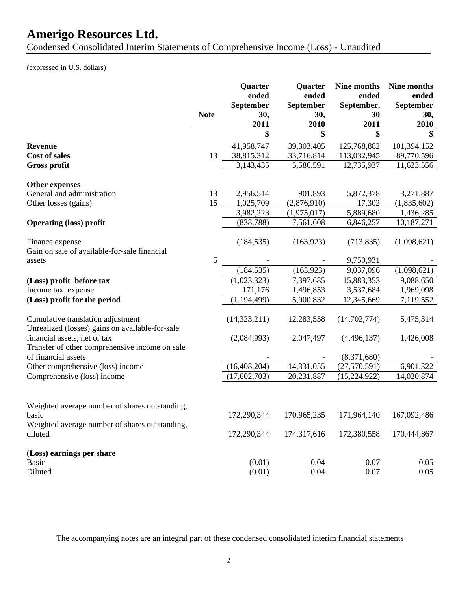Condensed Consolidated Interim Statements of Comprehensive Income (Loss) - Unaudited

(expressed in U.S. dollars)

|                                                                                                           | <b>Note</b> | Quarter<br>ended<br>September<br>30, | Quarter<br>ended<br>September<br>30, | Nine months<br>ended<br>September,<br>30 | Nine months<br>ended<br>September<br>30, |
|-----------------------------------------------------------------------------------------------------------|-------------|--------------------------------------|--------------------------------------|------------------------------------------|------------------------------------------|
|                                                                                                           |             | 2011                                 | 2010                                 | 2011                                     | 2010                                     |
|                                                                                                           |             | \$                                   | \$                                   | \$                                       |                                          |
| <b>Revenue</b>                                                                                            |             | 41,958,747                           | 39,303,405                           | 125,768,882                              | 101,394,152                              |
| <b>Cost of sales</b>                                                                                      | 13          | 38,815,312                           | 33,716,814                           | 113,032,945                              | 89,770,596                               |
| <b>Gross profit</b>                                                                                       |             | 3,143,435                            | 5,586,591                            | 12,735,937                               | 11,623,556                               |
| <b>Other expenses</b>                                                                                     |             |                                      |                                      |                                          |                                          |
| General and administration                                                                                | 13          | 2,956,514                            | 901,893                              | 5,872,378                                | 3,271,887                                |
| Other losses (gains)                                                                                      | 15          | 1,025,709                            | (2,876,910)                          | 17,302                                   | (1,835,602)                              |
|                                                                                                           |             | 3,982,223                            | (1,975,017)                          | 5,889,680                                | 1,436,285                                |
| <b>Operating (loss) profit</b>                                                                            |             | (838, 788)                           | 7,561,608                            | 6,846,257                                | 10,187,271                               |
| Finance expense<br>Gain on sale of available-for-sale financial                                           |             | (184, 535)                           | (163, 923)                           | (713, 835)                               | (1,098,621)                              |
| assets                                                                                                    | 5           |                                      |                                      | 9,750,931                                |                                          |
|                                                                                                           |             | (184, 535)                           | (163, 923)                           | 9,037,096                                | (1,098,621)                              |
| (Loss) profit before tax                                                                                  |             | (1,023,323)                          | 7,397,685                            | 15,883,353                               | 9,088,650                                |
| Income tax expense                                                                                        |             | 171,176                              | 1,496,853                            | 3,537,684                                | 1,969,098                                |
| (Loss) profit for the period                                                                              |             | (1, 194, 499)                        | 5,900,832                            | 12,345,669                               | 7,119,552                                |
| Cumulative translation adjustment<br>Unrealized (losses) gains on available-for-sale                      |             | (14, 323, 211)                       | 12,283,558                           | (14,702,774)                             | 5,475,314                                |
| financial assets, net of tax<br>Transfer of other comprehensive income on sale                            |             | (2,084,993)                          | 2,047,497                            | (4,496,137)                              | 1,426,008                                |
| of financial assets                                                                                       |             |                                      |                                      | (8,371,680)                              |                                          |
| Other comprehensive (loss) income                                                                         |             | (16, 408, 204)                       | 14,331,055                           | (27,570,591)                             | 6,901,322                                |
| Comprehensive (loss) income                                                                               |             | (17, 602, 703)                       | 20,231,887                           | (15, 224, 922)                           | 14,020,874                               |
| Weighted average number of shares outstanding,<br>basic<br>Weighted average number of shares outstanding, |             | 172,290,344                          | 170,965,235                          | 171,964,140                              | 167,092,486                              |
| diluted                                                                                                   |             | 172,290,344                          | 174,317,616                          | 172,380,558                              | 170,444,867                              |
| (Loss) earnings per share<br><b>Basic</b><br>Diluted                                                      |             | (0.01)<br>(0.01)                     | 0.04<br>0.04                         | 0.07<br>0.07                             | 0.05<br>0.05                             |

The accompanying notes are an integral part of these condensed consolidated interim financial statements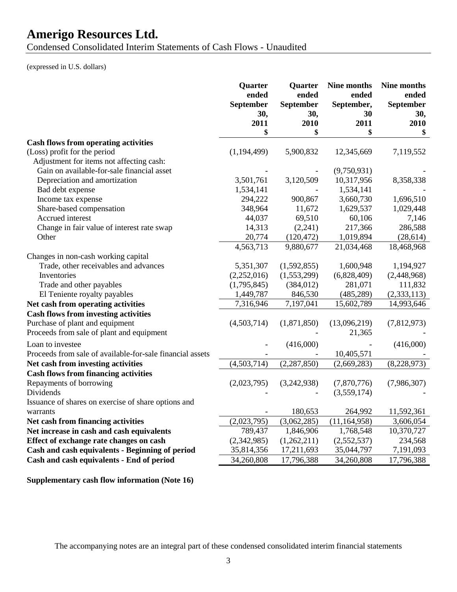Condensed Consolidated Interim Statements of Cash Flows - Unaudited

(expressed in U.S. dollars)

|                                                           | Quarter<br>ended<br>September<br>30,<br>2011 | Quarter<br>ended<br>September<br>30,<br>2010 | Nine months<br>ended<br>September,<br>30<br>2011 | Nine months<br>ended<br>September<br>30,<br>2010 |
|-----------------------------------------------------------|----------------------------------------------|----------------------------------------------|--------------------------------------------------|--------------------------------------------------|
|                                                           | \$                                           | \$                                           | \$                                               | \$                                               |
| <b>Cash flows from operating activities</b>               |                                              |                                              |                                                  |                                                  |
| (Loss) profit for the period                              | (1, 194, 499)                                | 5,900,832                                    | 12,345,669                                       | 7,119,552                                        |
| Adjustment for items not affecting cash:                  |                                              |                                              |                                                  |                                                  |
| Gain on available-for-sale financial asset                |                                              |                                              | (9,750,931)                                      |                                                  |
| Depreciation and amortization                             | 3,501,761                                    | 3,120,509                                    | 10,317,956                                       | 8,358,338                                        |
| Bad debt expense                                          | 1,534,141                                    |                                              | 1,534,141                                        |                                                  |
| Income tax expense                                        | 294,222                                      | 900,867                                      | 3,660,730                                        | 1,696,510                                        |
| Share-based compensation                                  | 348,964                                      | 11,672                                       | 1,629,537                                        | 1,029,448                                        |
| Accrued interest                                          | 44,037                                       | 69,510                                       | 60,106                                           | 7,146                                            |
| Change in fair value of interest rate swap                | 14,313                                       | (2,241)                                      | 217,366                                          | 286,588                                          |
| Other                                                     | 20,774                                       | (120, 472)                                   | 1,019,894                                        | (28, 614)                                        |
|                                                           | 4,563,713                                    | 9,880,677                                    | 21,034,468                                       | 18,468,968                                       |
| Changes in non-cash working capital                       |                                              |                                              |                                                  |                                                  |
| Trade, other receivables and advances                     | 5,351,307                                    | (1,592,855)                                  | 1,600,948                                        | 1,194,927                                        |
| Inventories                                               | (2,252,016)                                  | (1,553,299)                                  | (6,828,409)                                      | (2,448,968)                                      |
| Trade and other payables                                  | (1,795,845)                                  | (384, 012)                                   | 281,071                                          | 111,832                                          |
| El Teniente royalty payables                              | 1,449,787                                    | 846,530                                      | (485, 289)                                       | (2, 333, 113)                                    |
| Net cash from operating activities                        | 7,316,946                                    | 7,197,041                                    | 15,602,789                                       | 14,993,646                                       |
| <b>Cash flows from investing activities</b>               |                                              |                                              |                                                  |                                                  |
| Purchase of plant and equipment                           | (4,503,714)                                  | (1,871,850)                                  | (13,096,219)                                     | (7,812,973)                                      |
| Proceeds from sale of plant and equipment                 |                                              |                                              | 21,365                                           |                                                  |
| Loan to investee                                          |                                              | (416,000)                                    |                                                  | (416,000)                                        |
| Proceeds from sale of available-for-sale financial assets |                                              |                                              | 10,405,571                                       |                                                  |
| Net cash from investing activities                        | (4,503,714)                                  | (2, 287, 850)                                | (2,669,283)                                      | (8,228,973)                                      |
| <b>Cash flows from financing activities</b>               |                                              |                                              |                                                  |                                                  |
| Repayments of borrowing                                   | (2,023,795)                                  | (3,242,938)                                  | (7,870,776)                                      | (7,986,307)                                      |
| Dividends                                                 |                                              |                                              | (3,559,174)                                      |                                                  |
| Issuance of shares on exercise of share options and       |                                              |                                              |                                                  |                                                  |
| warrants                                                  |                                              | 180,653                                      | 264,992                                          | 11,592,361                                       |
| Net cash from financing activities                        | (2,023,795)                                  | (3,062,285)                                  | (11, 164, 958)                                   | 3,606,054                                        |
| Net increase in cash and cash equivalents                 | 789,437                                      | 1,846,906                                    | 1,768,548                                        | 10,370,727                                       |
| Effect of exchange rate changes on cash                   | (2,342,985)                                  | (1,262,211)                                  | (2,552,537)                                      | 234,568                                          |
| Cash and cash equivalents - Beginning of period           | 35,814,356                                   | 17,211,693                                   | 35,044,797                                       | 7,191,093                                        |
| Cash and cash equivalents - End of period                 | 34,260,808                                   | 17,796,388                                   | 34,260,808                                       | 17,796,388                                       |

**Supplementary cash flow information (Note 16)**

The accompanying notes are an integral part of these condensed consolidated interim financial statements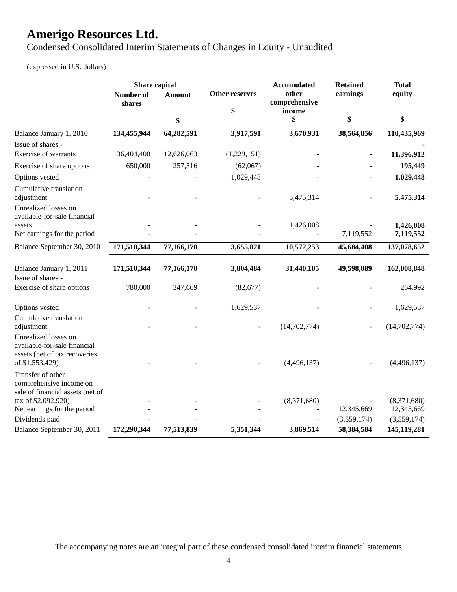Condensed Consolidated Interim Statements of Changes in Equity - Unaudited

(expressed in U.S. dollars)

|                                                                                                          | Share capital       |               |                             | <b>Accumulated</b>               | <b>Retained</b>          | <b>Total</b>   |
|----------------------------------------------------------------------------------------------------------|---------------------|---------------|-----------------------------|----------------------------------|--------------------------|----------------|
|                                                                                                          | Number of<br>shares | <b>Amount</b> | <b>Other reserves</b><br>\$ | other<br>comprehensive<br>income | earnings                 | equity         |
|                                                                                                          |                     | \$            |                             | \$                               | \$                       | \$             |
| Balance January 1, 2010                                                                                  | 134,455,944         | 64,282,591    | 3,917,591                   | 3,670,931                        | 38,564,856               | 110,435,969    |
| Issue of shares -                                                                                        |                     |               |                             |                                  |                          |                |
| Exercise of warrants                                                                                     | 36,404,400          | 12,626,063    | (1,229,151)                 |                                  |                          | 11,396,912     |
| Exercise of share options                                                                                | 650,000             | 257,516       | (62,067)                    |                                  |                          | 195,449        |
| Options vested                                                                                           |                     |               | 1,029,448                   |                                  |                          | 1,029,448      |
| Cumulative translation<br>adjustment                                                                     |                     |               |                             | 5,475,314                        |                          | 5,475,314      |
| Unrealized losses on<br>available-for-sale financial                                                     |                     |               |                             |                                  |                          |                |
| assets                                                                                                   |                     |               |                             | 1,426,008                        |                          | 1,426,008      |
| Net earnings for the period                                                                              |                     |               |                             |                                  | 7,119,552                | 7,119,552      |
| Balance September 30, 2010                                                                               | 171,510,344         | 77,166,170    | 3,655,821                   | 10,572,253                       | 45,684,408               | 137,078,652    |
| Balance January 1, 2011<br>Issue of shares -                                                             | 171,510,344         | 77,166,170    | 3,804,484                   | 31,440,105                       | 49,598,089               | 162,008,848    |
| Exercise of share options                                                                                | 780,000             | 347,669       | (82, 677)                   |                                  |                          | 264,992        |
| Options vested                                                                                           |                     |               | 1,629,537                   |                                  |                          | 1,629,537      |
| Cumulative translation<br>adjustment                                                                     |                     |               |                             | (14, 702, 774)                   | $\overline{\phantom{a}}$ | (14, 702, 774) |
| Unrealized losses on<br>available-for-sale financial<br>assets (net of tax recoveries<br>of \$1,553,429) |                     |               |                             | (4,496,137)                      |                          | (4,496,137)    |
| Transfer of other<br>comprehensive income on<br>sale of financial assets (net of                         |                     |               |                             |                                  |                          |                |
| tax of \$2,092,920)                                                                                      |                     |               |                             | (8,371,680)                      |                          | (8,371,680)    |
| Net earnings for the period                                                                              |                     |               |                             |                                  | 12,345,669               | 12,345,669     |
| Dividends paid                                                                                           |                     |               |                             |                                  | (3,559,174)              | (3,559,174)    |
| Balance September 30, 2011                                                                               | 172,290,344         | 77,513,839    | 5,351,344                   | 3,869,514                        | 58,384,584               | 145,119,281    |

The accompanying notes are an integral part of these condensed consolidated interim financial statements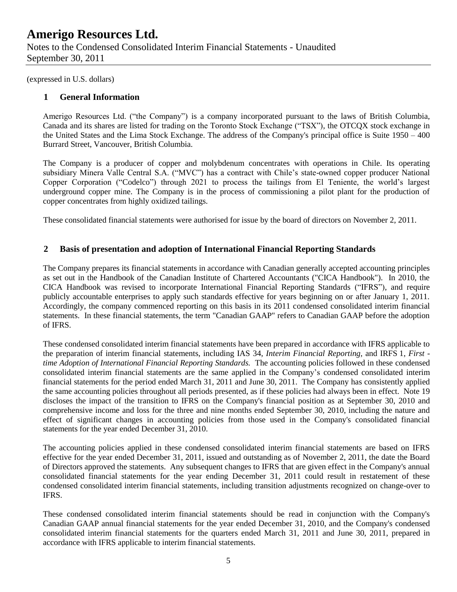(expressed in U.S. dollars)

### **1 General Information**

Amerigo Resources Ltd. ("the Company") is a company incorporated pursuant to the laws of British Columbia, Canada and its shares are listed for trading on the Toronto Stock Exchange ("TSX"), the OTCQX stock exchange in the United States and the Lima Stock Exchange. The address of the Company's principal office is Suite 1950 – 400 Burrard Street, Vancouver, British Columbia.

The Company is a producer of copper and molybdenum concentrates with operations in Chile. Its operating subsidiary Minera Valle Central S.A. ("MVC") has a contract with Chile's state-owned copper producer National Copper Corporation ("Codelco") through 2021 to process the tailings from El Teniente, the world's largest underground copper mine. The Company is in the process of commissioning a pilot plant for the production of copper concentrates from highly oxidized tailings.

These consolidated financial statements were authorised for issue by the board of directors on November 2, 2011.

### **2 Basis of presentation and adoption of International Financial Reporting Standards**

The Company prepares its financial statements in accordance with Canadian generally accepted accounting principles as set out in the Handbook of the Canadian Institute of Chartered Accountants ("CICA Handbook"). In 2010, the CICA Handbook was revised to incorporate International Financial Reporting Standards ("IFRS"), and require publicly accountable enterprises to apply such standards effective for years beginning on or after January 1, 2011. Accordingly, the company commenced reporting on this basis in its 2011 condensed consolidated interim financial statements. In these financial statements, the term "Canadian GAAP" refers to Canadian GAAP before the adoption of IFRS.

These condensed consolidated interim financial statements have been prepared in accordance with IFRS applicable to the preparation of interim financial statements, including IAS 34, *Interim Financial Reporting,* and IRFS 1, *First time Adoption of International Financial Reporting Standards.* The accounting policies followed in these condensed consolidated interim financial statements are the same applied in the Company's condensed consolidated interim financial statements for the period ended March 31, 2011 and June 30, 2011. The Company has consistently applied the same accounting policies throughout all periods presented, as if these policies had always been in effect. Note 19 discloses the impact of the transition to IFRS on the Company's financial position as at September 30, 2010 and comprehensive income and loss for the three and nine months ended September 30, 2010, including the nature and effect of significant changes in accounting policies from those used in the Company's consolidated financial statements for the year ended December 31, 2010.

The accounting policies applied in these condensed consolidated interim financial statements are based on IFRS effective for the year ended December 31, 2011, issued and outstanding as of November 2, 2011, the date the Board of Directors approved the statements. Any subsequent changes to IFRS that are given effect in the Company's annual consolidated financial statements for the year ending December 31, 2011 could result in restatement of these condensed consolidated interim financial statements, including transition adjustments recognized on change-over to IFRS.

These condensed consolidated interim financial statements should be read in conjunction with the Company's Canadian GAAP annual financial statements for the year ended December 31, 2010, and the Company's condensed consolidated interim financial statements for the quarters ended March 31, 2011 and June 30, 2011, prepared in accordance with IFRS applicable to interim financial statements.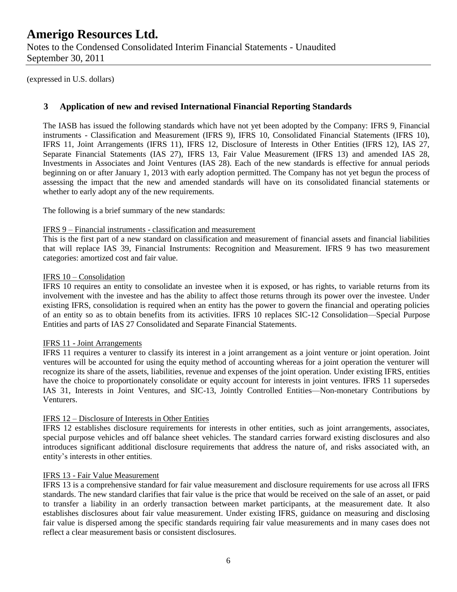(expressed in U.S. dollars)

### **3 Application of new and revised International Financial Reporting Standards**

The IASB has issued the following standards which have not yet been adopted by the Company: IFRS 9, Financial instruments - Classification and Measurement (IFRS 9), IFRS 10, Consolidated Financial Statements (IFRS 10), IFRS 11, Joint Arrangements (IFRS 11), IFRS 12, Disclosure of Interests in Other Entities (IFRS 12), IAS 27, Separate Financial Statements (IAS 27), IFRS 13, Fair Value Measurement (IFRS 13) and amended IAS 28, Investments in Associates and Joint Ventures (IAS 28). Each of the new standards is effective for annual periods beginning on or after January 1, 2013 with early adoption permitted. The Company has not yet begun the process of assessing the impact that the new and amended standards will have on its consolidated financial statements or whether to early adopt any of the new requirements.

The following is a brief summary of the new standards:

#### IFRS 9 – Financial instruments - classification and measurement

This is the first part of a new standard on classification and measurement of financial assets and financial liabilities that will replace IAS 39, Financial Instruments: Recognition and Measurement. IFRS 9 has two measurement categories: amortized cost and fair value.

#### IFRS 10 – Consolidation

IFRS 10 requires an entity to consolidate an investee when it is exposed, or has rights, to variable returns from its involvement with the investee and has the ability to affect those returns through its power over the investee. Under existing IFRS, consolidation is required when an entity has the power to govern the financial and operating policies of an entity so as to obtain benefits from its activities. IFRS 10 replaces SIC-12 Consolidation—Special Purpose Entities and parts of IAS 27 Consolidated and Separate Financial Statements.

#### IFRS 11 - Joint Arrangements

IFRS 11 requires a venturer to classify its interest in a joint arrangement as a joint venture or joint operation. Joint ventures will be accounted for using the equity method of accounting whereas for a joint operation the venturer will recognize its share of the assets, liabilities, revenue and expenses of the joint operation. Under existing IFRS, entities have the choice to proportionately consolidate or equity account for interests in joint ventures. IFRS 11 supersedes IAS 31, Interests in Joint Ventures, and SIC-13, Jointly Controlled Entities—Non-monetary Contributions by Venturers.

#### IFRS 12 – Disclosure of Interests in Other Entities

IFRS 12 establishes disclosure requirements for interests in other entities, such as joint arrangements, associates, special purpose vehicles and off balance sheet vehicles. The standard carries forward existing disclosures and also introduces significant additional disclosure requirements that address the nature of, and risks associated with, an entity's interests in other entities.

#### IFRS 13 - Fair Value Measurement

IFRS 13 is a comprehensive standard for fair value measurement and disclosure requirements for use across all IFRS standards. The new standard clarifies that fair value is the price that would be received on the sale of an asset, or paid to transfer a liability in an orderly transaction between market participants, at the measurement date. It also establishes disclosures about fair value measurement. Under existing IFRS, guidance on measuring and disclosing fair value is dispersed among the specific standards requiring fair value measurements and in many cases does not reflect a clear measurement basis or consistent disclosures.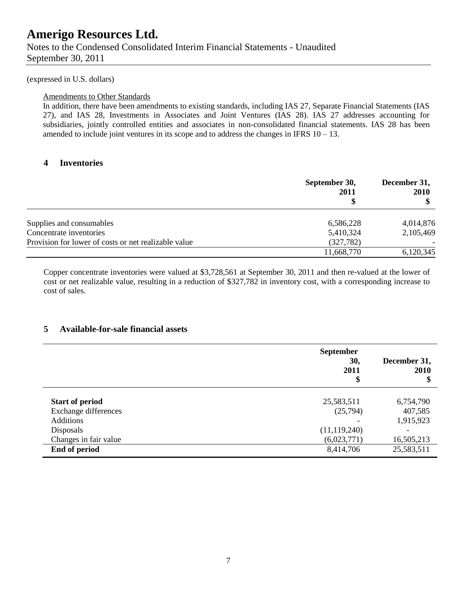(expressed in U.S. dollars)

#### Amendments to Other Standards

In addition, there have been amendments to existing standards, including IAS 27, Separate Financial Statements (IAS 27), and IAS 28, Investments in Associates and Joint Ventures (IAS 28). IAS 27 addresses accounting for subsidiaries, jointly controlled entities and associates in non-consolidated financial statements. IAS 28 has been amended to include joint ventures in its scope and to address the changes in IFRS  $10 - 13$ .

### **4 Inventories**

|                                                      | September 30,<br>2011 | December 31,<br><b>2010</b> |
|------------------------------------------------------|-----------------------|-----------------------------|
| Supplies and consumables                             | 6,586,228             | 4,014,876                   |
| Concentrate inventories                              | 5,410,324             | 2,105,469                   |
| Provision for lower of costs or net realizable value | (327, 782)            |                             |
|                                                      | 11,668,770            | 6,120,345                   |

Copper concentrate inventories were valued at \$3,728,561 at September 30, 2011 and then re-valued at the lower of cost or net realizable value, resulting in a reduction of \$327,782 in inventory cost, with a corresponding increase to cost of sales.

### **5 Available-for-sale financial assets**

|                        | <b>September</b><br>30,<br>2011<br>\$ | December 31,<br>2010<br>\$ |
|------------------------|---------------------------------------|----------------------------|
| <b>Start of period</b> | 25,583,511                            | 6,754,790                  |
| Exchange differences   | (25,794)                              | 407,585                    |
| <b>Additions</b>       |                                       | 1,915,923                  |
| Disposals              | (11, 119, 240)                        | $\overline{\phantom{0}}$   |
| Changes in fair value  | (6,023,771)                           | 16,505,213                 |
| End of period          | 8,414,706                             | 25,583,511                 |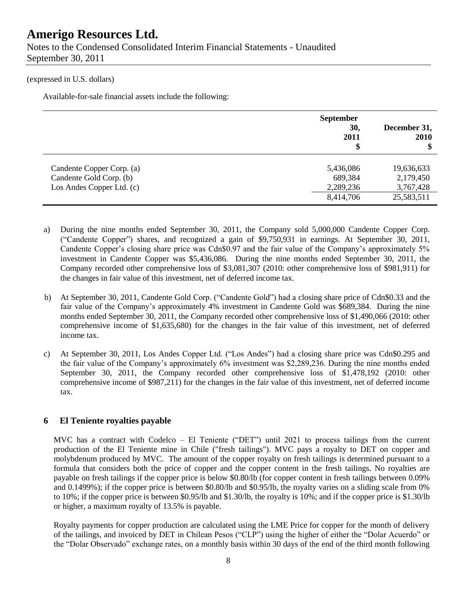#### (expressed in U.S. dollars)

Available-for-sale financial assets include the following:

|                           | <b>September</b><br>30,<br>2011<br>\$ | December 31,<br>2010<br>\$ |
|---------------------------|---------------------------------------|----------------------------|
| Candente Copper Corp. (a) | 5,436,086                             | 19,636,633                 |
| Candente Gold Corp. (b)   | 689,384                               | 2,179,450                  |
| Los Andes Copper Ltd. (c) | 2,289,236                             | 3,767,428                  |
|                           | 8,414,706                             | 25,583,511                 |

- a) During the nine months ended September 30, 2011, the Company sold 5,000,000 Candente Copper Corp. (―Candente Copper‖) shares, and recognized a gain of \$9,750,931 in earnings. At September 30, 2011, Candente Copper's closing share price was Cdn\$0.97 and the fair value of the Company's approximately 5% investment in Candente Copper was \$5,436,086. During the nine months ended September 30, 2011, the Company recorded other comprehensive loss of \$3,081,307 (2010: other comprehensive loss of \$981,911) for the changes in fair value of this investment, net of deferred income tax.
- b) At September 30, 2011, Candente Gold Corp. ("Candente Gold") had a closing share price of Cdn\$0.33 and the fair value of the Company's approximately 4% investment in Candente Gold was \$689,384. During the nine months ended September 30, 2011, the Company recorded other comprehensive loss of \$1,490,066 (2010: other comprehensive income of \$1,635,680) for the changes in the fair value of this investment, net of deferred income tax.
- c) At September 30, 2011, Los Andes Copper Ltd. ("Los Andes") had a closing share price was Cdn\$0.295 and the fair value of the Company's approximately 6% investment was \$2,289,236. During the nine months ended September 30, 2011, the Company recorded other comprehensive loss of \$1,478,192 (2010: other comprehensive income of \$987,211) for the changes in the fair value of this investment, net of deferred income tax.

### **6 El Teniente royalties payable**

MVC has a contract with Codelco – El Teniente ("DET") until 2021 to process tailings from the current production of the El Teniente mine in Chile ("fresh tailings"). MVC pays a royalty to DET on copper and molybdenum produced by MVC. The amount of the copper royalty on fresh tailings is determined pursuant to a formula that considers both the price of copper and the copper content in the fresh tailings. No royalties are payable on fresh tailings if the copper price is below \$0.80/lb (for copper content in fresh tailings between 0.09% and 0.1499%); if the copper price is between \$0.80/lb and \$0.95/lb, the royalty varies on a sliding scale from 0% to 10%; if the copper price is between \$0.95/lb and \$1.30/lb, the royalty is 10%; and if the copper price is \$1.30/lb or higher, a maximum royalty of 13.5% is payable.

Royalty payments for copper production are calculated using the LME Price for copper for the month of delivery of the tailings, and invoiced by DET in Chilean Pesos ("CLP") using the higher of either the "Dolar Acuerdo" or the "Dolar Observado" exchange rates, on a monthly basis within 30 days of the end of the third month following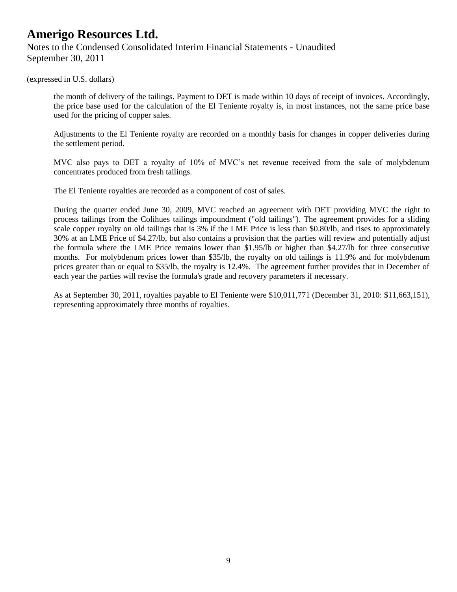(expressed in U.S. dollars)

the month of delivery of the tailings. Payment to DET is made within 10 days of receipt of invoices. Accordingly, the price base used for the calculation of the El Teniente royalty is, in most instances, not the same price base used for the pricing of copper sales.

Adjustments to the El Teniente royalty are recorded on a monthly basis for changes in copper deliveries during the settlement period.

MVC also pays to DET a royalty of 10% of MVC's net revenue received from the sale of molybdenum concentrates produced from fresh tailings.

The El Teniente royalties are recorded as a component of cost of sales.

During the quarter ended June 30, 2009, MVC reached an agreement with DET providing MVC the right to process tailings from the Colihues tailings impoundment ("old tailings"). The agreement provides for a sliding scale copper royalty on old tailings that is 3% if the LME Price is less than \$0.80/lb, and rises to approximately 30% at an LME Price of \$4.27/lb, but also contains a provision that the parties will review and potentially adjust the formula where the LME Price remains lower than \$1.95/lb or higher than \$4.27/lb for three consecutive months. For molybdenum prices lower than \$35/lb, the royalty on old tailings is 11.9% and for molybdenum prices greater than or equal to \$35/lb, the royalty is 12.4%. The agreement further provides that in December of each year the parties will revise the formula's grade and recovery parameters if necessary.

As at September 30, 2011, royalties payable to El Teniente were \$10,011,771 (December 31, 2010: \$11,663,151), representing approximately three months of royalties.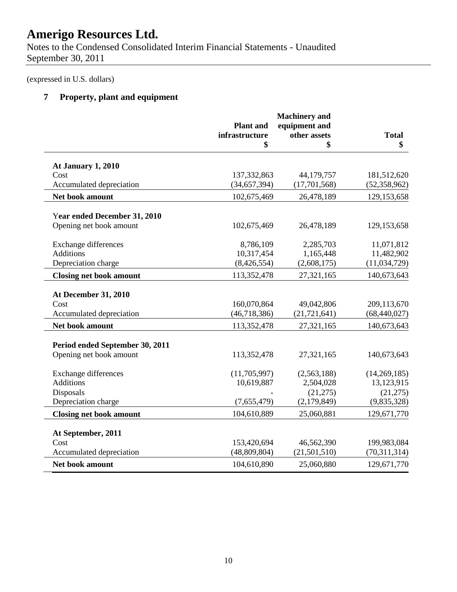Notes to the Condensed Consolidated Interim Financial Statements - Unaudited September 30, 2011

(expressed in U.S. dollars)

# **7 Property, plant and equipment**

|                                 | <b>Plant</b> and |                               |                |
|---------------------------------|------------------|-------------------------------|----------------|
|                                 | infrastructure   | equipment and<br>other assets | <b>Total</b>   |
|                                 | \$               | \$                            | \$             |
| At January 1, 2010              |                  |                               |                |
| Cost                            | 137, 332, 863    | 44,179,757                    | 181,512,620    |
| Accumulated depreciation        | (34, 657, 394)   | (17,701,568)                  | (52, 358, 962) |
| Net book amount                 | 102,675,469      | 26,478,189                    | 129, 153, 658  |
| Year ended December 31, 2010    |                  |                               |                |
| Opening net book amount         | 102,675,469      | 26,478,189                    | 129, 153, 658  |
| <b>Exchange differences</b>     | 8,786,109        | 2,285,703                     | 11,071,812     |
| <b>Additions</b>                | 10,317,454       | 1,165,448                     | 11,482,902     |
| Depreciation charge             | (8,426,554)      | (2,608,175)                   | (11, 034, 729) |
| <b>Closing net book amount</b>  | 113,352,478      | 27,321,165                    | 140,673,643    |
| <b>At December 31, 2010</b>     |                  |                               |                |
| Cost                            | 160,070,864      | 49,042,806                    | 209,113,670    |
| Accumulated depreciation        | (46, 718, 386)   | (21, 721, 641)                | (68, 440, 027) |
| Net book amount                 | 113,352,478      | 27,321,165                    | 140,673,643    |
| Period ended September 30, 2011 |                  |                               |                |
| Opening net book amount         | 113,352,478      | 27,321,165                    | 140,673,643    |
| <b>Exchange differences</b>     | (11,705,997)     | (2,563,188)                   | (14,269,185)   |
| <b>Additions</b>                | 10,619,887       | 2,504,028                     | 13,123,915     |
| Disposals                       |                  | (21, 275)                     | (21, 275)      |
| Depreciation charge             | (7,655,479)      | (2,179,849)                   | (9,835,328)    |
| <b>Closing net book amount</b>  | 104,610,889      | 25,060,881                    | 129,671,770    |
| At September, 2011              |                  |                               |                |
| Cost                            | 153,420,694      | 46,562,390                    | 199,983,084    |
| Accumulated depreciation        | (48,809,804)     | (21,501,510)                  | (70,311,314)   |
| Net book amount                 | 104,610,890      | 25,060,880                    | 129,671,770    |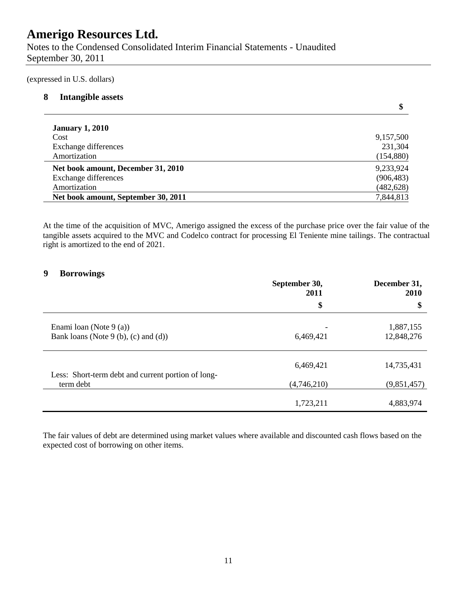Notes to the Condensed Consolidated Interim Financial Statements - Unaudited September 30, 2011

(expressed in U.S. dollars)

### **8 Intangible assets**

| \$         |
|------------|
|            |
| 9,157,500  |
| 231,304    |
| (154, 880) |
| 9,233,924  |
| (906, 483) |
| (482, 628) |
| 7,844,813  |
|            |

At the time of the acquisition of MVC, Amerigo assigned the excess of the purchase price over the fair value of the tangible assets acquired to the MVC and Codelco contract for processing El Teniente mine tailings. The contractual right is amortized to the end of 2021.

### **9 Borrowings**

|                                                                   | September 30,<br>2011 | December 31,<br>2010    |
|-------------------------------------------------------------------|-----------------------|-------------------------|
|                                                                   | \$                    | \$                      |
| Enami Ioan (Note $9(a)$ )<br>Bank loans (Note 9 (b), (c) and (d)) | 6,469,421             | 1,887,155<br>12,848,276 |
| Less: Short-term debt and current portion of long-                | 6,469,421             | 14,735,431              |
| term debt                                                         | (4,746,210)           | (9,851,457)             |
|                                                                   | 1,723,211             | 4,883,974               |

The fair values of debt are determined using market values where available and discounted cash flows based on the expected cost of borrowing on other items.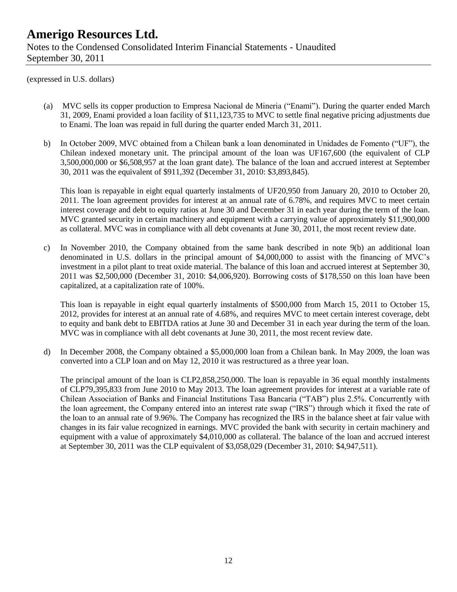(expressed in U.S. dollars)

- (a) MVC sells its copper production to Empresa Nacional de Mineria ("Enami"). During the quarter ended March 31, 2009, Enami provided a loan facility of \$11,123,735 to MVC to settle final negative pricing adjustments due to Enami. The loan was repaid in full during the quarter ended March 31, 2011.
- b) In October 2009, MVC obtained from a Chilean bank a loan denominated in Unidades de Fomento ("UF"), the Chilean indexed monetary unit. The principal amount of the loan was UF167,600 (the equivalent of CLP 3,500,000,000 or \$6,508,957 at the loan grant date). The balance of the loan and accrued interest at September 30, 2011 was the equivalent of \$911,392 (December 31, 2010: \$3,893,845).

This loan is repayable in eight equal quarterly instalments of UF20,950 from January 20, 2010 to October 20, 2011. The loan agreement provides for interest at an annual rate of 6.78%, and requires MVC to meet certain interest coverage and debt to equity ratios at June 30 and December 31 in each year during the term of the loan. MVC granted security in certain machinery and equipment with a carrying value of approximately \$11,900,000 as collateral. MVC was in compliance with all debt covenants at June 30, 2011, the most recent review date.

c) In November 2010, the Company obtained from the same bank described in note 9(b) an additional loan denominated in U.S. dollars in the principal amount of \$4,000,000 to assist with the financing of MVC's investment in a pilot plant to treat oxide material. The balance of this loan and accrued interest at September 30, 2011 was \$2,500,000 (December 31, 2010: \$4,006,920). Borrowing costs of \$178,550 on this loan have been capitalized, at a capitalization rate of 100%.

This loan is repayable in eight equal quarterly instalments of \$500,000 from March 15, 2011 to October 15, 2012, provides for interest at an annual rate of 4.68%, and requires MVC to meet certain interest coverage, debt to equity and bank debt to EBITDA ratios at June 30 and December 31 in each year during the term of the loan. MVC was in compliance with all debt covenants at June 30, 2011, the most recent review date.

d) In December 2008, the Company obtained a \$5,000,000 loan from a Chilean bank. In May 2009, the loan was converted into a CLP loan and on May 12, 2010 it was restructured as a three year loan.

The principal amount of the loan is CLP2,858,250,000. The loan is repayable in 36 equal monthly instalments of CLP79,395,833 from June 2010 to May 2013. The loan agreement provides for interest at a variable rate of Chilean Association of Banks and Financial Institutions Tasa Bancaria ("TAB") plus 2.5%. Concurrently with the loan agreement, the Company entered into an interest rate swap ("IRS") through which it fixed the rate of the loan to an annual rate of 9.96%. The Company has recognized the IRS in the balance sheet at fair value with changes in its fair value recognized in earnings. MVC provided the bank with security in certain machinery and equipment with a value of approximately \$4,010,000 as collateral. The balance of the loan and accrued interest at September 30, 2011 was the CLP equivalent of \$3,058,029 (December 31, 2010: \$4,947,511).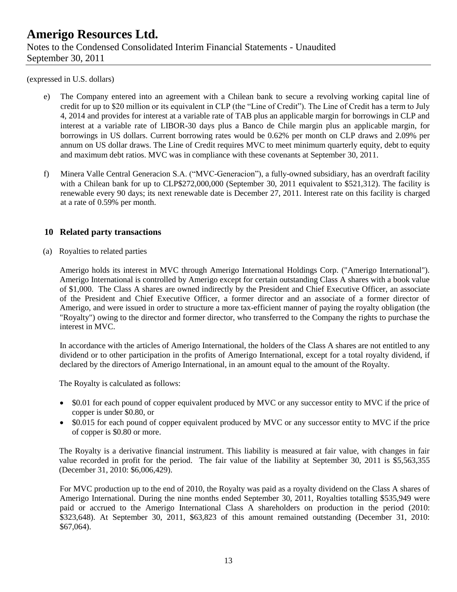(expressed in U.S. dollars)

- e) The Company entered into an agreement with a Chilean bank to secure a revolving working capital line of credit for up to \$20 million or its equivalent in CLP (the "Line of Credit"). The Line of Credit has a term to July 4, 2014 and provides for interest at a variable rate of TAB plus an applicable margin for borrowings in CLP and interest at a variable rate of LIBOR-30 days plus a Banco de Chile margin plus an applicable margin, for borrowings in US dollars. Current borrowing rates would be 0.62% per month on CLP draws and 2.09% per annum on US dollar draws. The Line of Credit requires MVC to meet minimum quarterly equity, debt to equity and maximum debt ratios. MVC was in compliance with these covenants at September 30, 2011.
- f) Minera Valle Central Generacion S.A. ("MVC-Generacion"), a fully-owned subsidiary, has an overdraft facility with a Chilean bank for up to CLP\$272,000,000 (September 30, 2011 equivalent to \$521,312). The facility is renewable every 90 days; its next renewable date is December 27, 2011. Interest rate on this facility is charged at a rate of 0.59% per month.

### **10 Related party transactions**

(a) Royalties to related parties

Amerigo holds its interest in MVC through Amerigo International Holdings Corp. ("Amerigo International"). Amerigo International is controlled by Amerigo except for certain outstanding Class A shares with a book value of \$1,000. The Class A shares are owned indirectly by the President and Chief Executive Officer, an associate of the President and Chief Executive Officer, a former director and an associate of a former director of Amerigo, and were issued in order to structure a more tax-efficient manner of paying the royalty obligation (the "Royalty") owing to the director and former director, who transferred to the Company the rights to purchase the interest in MVC.

In accordance with the articles of Amerigo International, the holders of the Class A shares are not entitled to any dividend or to other participation in the profits of Amerigo International, except for a total royalty dividend, if declared by the directors of Amerigo International, in an amount equal to the amount of the Royalty.

The Royalty is calculated as follows:

- \$0.01 for each pound of copper equivalent produced by MVC or any successor entity to MVC if the price of copper is under \$0.80, or
- \$0.015 for each pound of copper equivalent produced by MVC or any successor entity to MVC if the price of copper is \$0.80 or more.

The Royalty is a derivative financial instrument. This liability is measured at fair value, with changes in fair value recorded in profit for the period. The fair value of the liability at September 30, 2011 is \$5,563,355 (December 31, 2010: \$6,006,429).

For MVC production up to the end of 2010, the Royalty was paid as a royalty dividend on the Class A shares of Amerigo International. During the nine months ended September 30, 2011, Royalties totalling \$535,949 were paid or accrued to the Amerigo International Class A shareholders on production in the period (2010: \$323,648). At September 30, 2011, \$63,823 of this amount remained outstanding (December 31, 2010: \$67,064).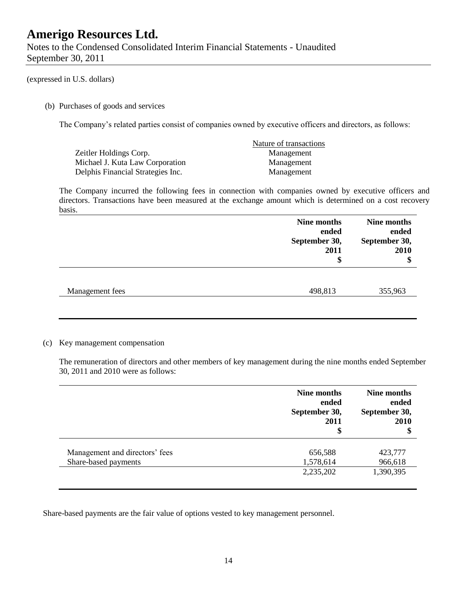Notes to the Condensed Consolidated Interim Financial Statements - Unaudited September 30, 2011

#### (expressed in U.S. dollars)

(b) Purchases of goods and services

The Company's related parties consist of companies owned by executive officers and directors, as follows:

|                                   | Nature of transactions |
|-----------------------------------|------------------------|
| Zeitler Holdings Corp.            | Management             |
| Michael J. Kuta Law Corporation   | Management             |
| Delphis Financial Strategies Inc. | Management             |

The Company incurred the following fees in connection with companies owned by executive officers and directors. Transactions have been measured at the exchange amount which is determined on a cost recovery basis.

|                 | Nine months<br>ended<br>September 30,<br>2011<br>\$ | Nine months<br>ended<br>September 30,<br>2010<br>\$ |  |
|-----------------|-----------------------------------------------------|-----------------------------------------------------|--|
| Management fees | 498,813                                             | 355,963                                             |  |

#### (c) Key management compensation

The remuneration of directors and other members of key management during the nine months ended September 30, 2011 and 2010 were as follows:

|                                | Nine months<br>ended<br>September 30,<br>2011<br>\$ | Nine months<br>ended<br>September 30,<br>2010<br>\$ |
|--------------------------------|-----------------------------------------------------|-----------------------------------------------------|
| Management and directors' fees | 656,588                                             | 423,777                                             |
| Share-based payments           | 1,578,614                                           | 966,618                                             |
|                                | 2,235,202                                           | 1,390,395                                           |

Share-based payments are the fair value of options vested to key management personnel.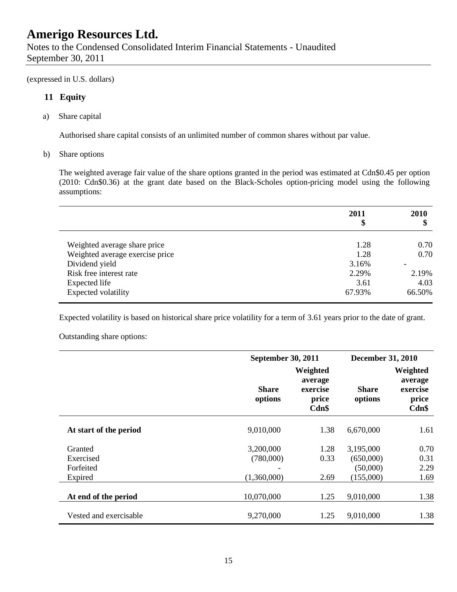(expressed in U.S. dollars)

### **11 Equity**

a) Share capital

Authorised share capital consists of an unlimited number of common shares without par value.

b) Share options

The weighted average fair value of the share options granted in the period was estimated at Cdn\$0.45 per option (2010: Cdn\$0.36) at the grant date based on the Black-Scholes option-pricing model using the following assumptions:

|                                 | 2011<br>\$ | 2010<br>¢<br>Φ |
|---------------------------------|------------|----------------|
| Weighted average share price    | 1.28       | 0.70           |
| Weighted average exercise price | 1.28       | 0.70           |
| Dividend yield                  | 3.16%      |                |
| Risk free interest rate         | 2.29%      | 2.19%          |
| Expected life                   | 3.61       | 4.03           |
| Expected volatility             | 67.93%     | 66.50%         |

Expected volatility is based on historical share price volatility for a term of 3.61 years prior to the date of grant.

Outstanding share options:

|                        | <b>September 30, 2011</b> |                                                   | <b>December 31, 2010</b> |                                                   |  |
|------------------------|---------------------------|---------------------------------------------------|--------------------------|---------------------------------------------------|--|
|                        | <b>Share</b><br>options   | Weighted<br>average<br>exercise<br>price<br>Cdn\$ | <b>Share</b><br>options  | Weighted<br>average<br>exercise<br>price<br>Cdn\$ |  |
| At start of the period | 9,010,000                 | 1.38                                              | 6,670,000                | 1.61                                              |  |
| Granted                | 3,200,000                 | 1.28                                              | 3,195,000                | 0.70                                              |  |
| Exercised              | (780,000)                 | 0.33                                              | (650,000)                | 0.31                                              |  |
| Forfeited              |                           |                                                   | (50,000)                 | 2.29                                              |  |
| Expired                | (1,360,000)               | 2.69                                              | (155,000)                | 1.69                                              |  |
| At end of the period   | 10,070,000                | 1.25                                              | 9,010,000                | 1.38                                              |  |
| Vested and exercisable | 9,270,000                 | 1.25                                              | 9,010,000                | 1.38                                              |  |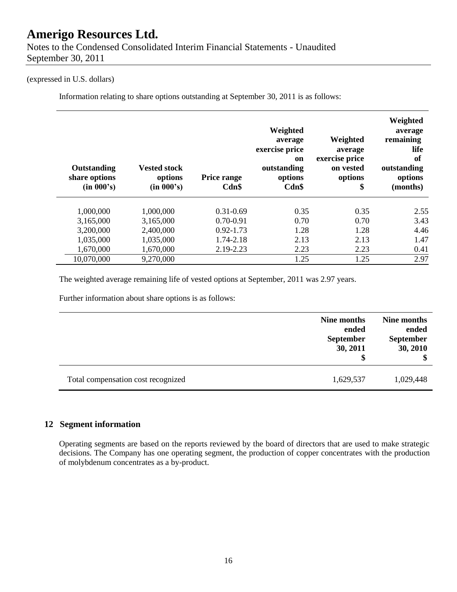#### (expressed in U.S. dollars)

Information relating to share options outstanding at September 30, 2011 is as follows:

| Outstanding<br>share options<br>(in 000's) | <b>Vested stock</b><br>options<br>(in 000's) | <b>Price range</b><br>Cdn\$ | Weighted<br>average<br>exercise price<br>on<br>outstanding<br>options<br>Cdn\$ | Weighted<br>average<br>exercise price<br>on vested<br>options<br>\$ | Weighted<br>average<br>remaining<br>life<br>of<br>outstanding<br>options<br>(months) |
|--------------------------------------------|----------------------------------------------|-----------------------------|--------------------------------------------------------------------------------|---------------------------------------------------------------------|--------------------------------------------------------------------------------------|
| 1,000,000                                  | 1,000,000                                    | $0.31 - 0.69$               | 0.35                                                                           | 0.35                                                                | 2.55                                                                                 |
| 3,165,000                                  | 3,165,000                                    | $0.70 - 0.91$               | 0.70                                                                           | 0.70                                                                | 3.43                                                                                 |
| 3,200,000                                  | 2,400,000                                    | $0.92 - 1.73$               | 1.28                                                                           | 1.28                                                                | 4.46                                                                                 |
| 1,035,000                                  | 1,035,000                                    | 1.74-2.18                   | 2.13                                                                           | 2.13                                                                | 1.47                                                                                 |
| 1,670,000                                  | 1,670,000                                    | 2.19-2.23                   | 2.23                                                                           | 2.23                                                                | 0.41                                                                                 |
| 10,070,000                                 | 9,270,000                                    |                             | 1.25                                                                           | 1.25                                                                | 2.97                                                                                 |

The weighted average remaining life of vested options at September, 2011 was 2.97 years.

Further information about share options is as follows:

|                                    | Nine months<br>ended<br><b>September</b><br>30, 2011 | Nine months<br>ended<br><b>September</b><br>30, 2010<br>\$ |
|------------------------------------|------------------------------------------------------|------------------------------------------------------------|
| Total compensation cost recognized | 1,629,537                                            | 1,029,448                                                  |

### **12 Segment information**

Operating segments are based on the reports reviewed by the board of directors that are used to make strategic decisions. The Company has one operating segment, the production of copper concentrates with the production of molybdenum concentrates as a by-product.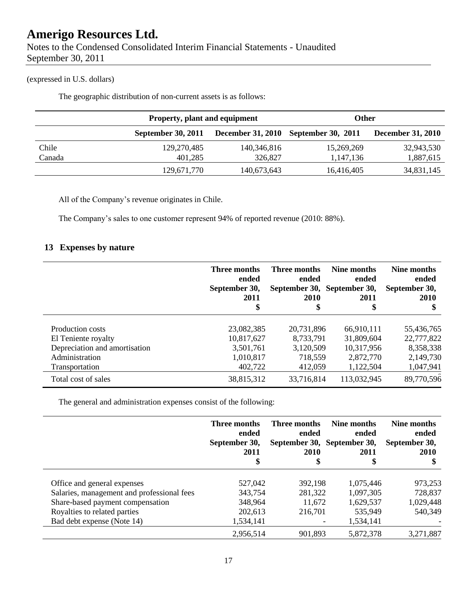Notes to the Condensed Consolidated Interim Financial Statements - Unaudited September 30, 2011

## (expressed in U.S. dollars)

The geographic distribution of non-current assets is as follows:

|        | <b>Property, plant and equipment</b> |             | Other                                |                          |
|--------|--------------------------------------|-------------|--------------------------------------|--------------------------|
|        | September 30, 2011                   |             | December 31, 2010 September 30, 2011 | <b>December 31, 2010</b> |
| Chile  | 129,270,485                          | 140,346,816 | 15,269,269                           | 32,943,530               |
| Canada | 401,285                              | 326,827     | 1,147,136                            | 1,887,615                |
|        | 129,671,770                          | 140,673,643 |                                      | 34,831,145               |

All of the Company's revenue originates in Chile.

The Company's sales to one customer represent 94% of reported revenue (2010: 88%).

## **13 Expenses by nature**

|                               | Three months<br>ended<br>September 30,<br>2011<br>\$ | Three months<br>ended<br>2010<br>\$ | Nine months<br>ended<br>September 30, September 30,<br>2011<br>\$ | Nine months<br>ended<br>September 30,<br>2010<br>\$ |
|-------------------------------|------------------------------------------------------|-------------------------------------|-------------------------------------------------------------------|-----------------------------------------------------|
| Production costs              | 23,082,385                                           | 20,731,896                          | 66,910,111                                                        | 55,436,765                                          |
| El Teniente royalty           | 10,817,627                                           | 8,733,791                           | 31,809,604                                                        | 22,777,822                                          |
| Depreciation and amortisation | 3,501,761                                            | 3,120,509                           | 10,317,956                                                        | 8,358,338                                           |
| Administration                | 1,010,817                                            | 718,559                             | 2,872,770                                                         | 2,149,730                                           |
| Transportation                | 402,722                                              | 412,059                             | 1,122,504                                                         | 1,047,941                                           |
| Total cost of sales           | 38,815,312                                           | 33,716,814                          | 113,032,945                                                       | 89,770,596                                          |

The general and administration expenses consist of the following:

|                                            | Three months<br>ended<br>September 30,<br>2011<br>\$ | Three months<br>ended<br>September 30, September 30,<br>2010<br>\$ | Nine months<br>ended<br>2011<br>\$ | Nine months<br>ended<br>September 30,<br>2010<br>\$ |
|--------------------------------------------|------------------------------------------------------|--------------------------------------------------------------------|------------------------------------|-----------------------------------------------------|
| Office and general expenses                | 527,042                                              | 392,198                                                            | 1,075,446                          | 973,253                                             |
| Salaries, management and professional fees | 343,754                                              | 281,322                                                            | 1,097,305                          | 728,837                                             |
| Share-based payment compensation           | 348,964                                              | 11,672                                                             | 1,629,537                          | 1,029,448                                           |
| Royalties to related parties               | 202,613                                              | 216,701                                                            | 535,949                            | 540,349                                             |
| Bad debt expense (Note 14)                 | 1,534,141                                            |                                                                    | 1,534,141                          |                                                     |
|                                            | 2,956,514                                            | 901,893                                                            | 5,872,378                          | 3,271,887                                           |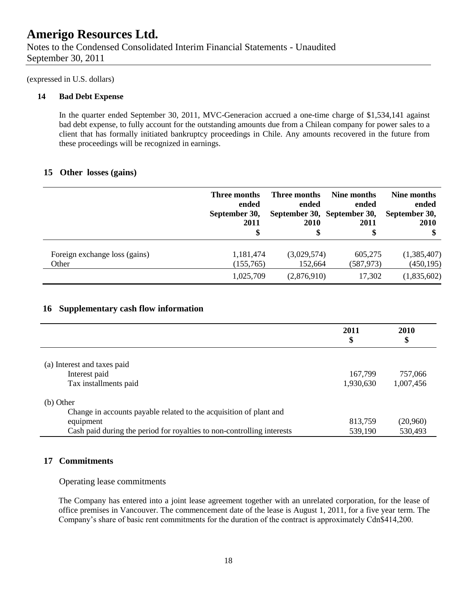Notes to the Condensed Consolidated Interim Financial Statements - Unaudited September 30, 2011

(expressed in U.S. dollars)

#### **14 Bad Debt Expense**

In the quarter ended September 30, 2011, MVC-Generacion accrued a one-time charge of \$1,534,141 against bad debt expense, to fully account for the outstanding amounts due from a Chilean company for power sales to a client that has formally initiated bankruptcy proceedings in Chile. Any amounts recovered in the future from these proceedings will be recognized in earnings.

## **15 Other losses (gains)**

|                               | Three months<br>ended<br>September 30,<br>2011<br>\$ | Three months<br>ended<br><b>2010</b> | Nine months<br>ended<br>September 30, September 30,<br>2011<br>\$ | Nine months<br>ended<br>September 30,<br><b>2010</b><br>\$ |
|-------------------------------|------------------------------------------------------|--------------------------------------|-------------------------------------------------------------------|------------------------------------------------------------|
| Foreign exchange loss (gains) | 1,181,474                                            | (3,029,574)                          | 605,275                                                           | (1,385,407)                                                |
| Other                         | (155,765)                                            | 152,664                              | (587, 973)                                                        | (450, 195)                                                 |
|                               | 1,025,709                                            | (2,876,910)                          | 17,302                                                            | (1,835,602)                                                |

### **16 Supplementary cash flow information**

|                                                                        | 2011<br>\$ | 2010<br>\$ |
|------------------------------------------------------------------------|------------|------------|
| (a) Interest and taxes paid                                            |            |            |
| Interest paid                                                          | 167,799    | 757,066    |
| Tax installments paid                                                  | 1,930,630  | 1,007,456  |
| (b) Other                                                              |            |            |
| Change in accounts payable related to the acquisition of plant and     |            |            |
| equipment                                                              | 813,759    | (20,960)   |
| Cash paid during the period for royalties to non-controlling interests | 539,190    | 530,493    |

### **17 Commitments**

#### Operating lease commitments

The Company has entered into a joint lease agreement together with an unrelated corporation, for the lease of office premises in Vancouver. The commencement date of the lease is August 1, 2011, for a five year term. The Company's share of basic rent commitments for the duration of the contract is approximately Cdn\$414,200.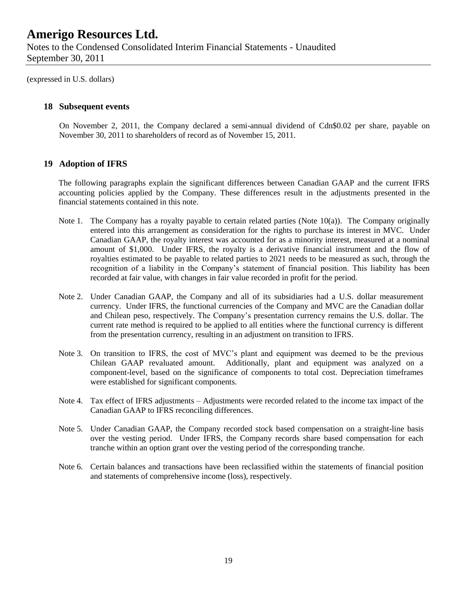(expressed in U.S. dollars)

### **18 Subsequent events**

On November 2, 2011, the Company declared a semi-annual dividend of Cdn\$0.02 per share, payable on November 30, 2011 to shareholders of record as of November 15, 2011.

#### **19 Adoption of IFRS**

The following paragraphs explain the significant differences between Canadian GAAP and the current IFRS accounting policies applied by the Company. These differences result in the adjustments presented in the financial statements contained in this note.

- Note 1. The Company has a royalty payable to certain related parties (Note 10(a)). The Company originally entered into this arrangement as consideration for the rights to purchase its interest in MVC. Under Canadian GAAP, the royalty interest was accounted for as a minority interest, measured at a nominal amount of \$1,000. Under IFRS, the royalty is a derivative financial instrument and the flow of royalties estimated to be payable to related parties to 2021 needs to be measured as such, through the recognition of a liability in the Company's statement of financial position. This liability has been recorded at fair value, with changes in fair value recorded in profit for the period.
- Note 2. Under Canadian GAAP, the Company and all of its subsidiaries had a U.S. dollar measurement currency. Under IFRS, the functional currencies of the Company and MVC are the Canadian dollar and Chilean peso, respectively. The Company's presentation currency remains the U.S. dollar. The current rate method is required to be applied to all entities where the functional currency is different from the presentation currency, resulting in an adjustment on transition to IFRS.
- Note 3. On transition to IFRS, the cost of MVC's plant and equipment was deemed to be the previous Chilean GAAP revaluated amount. Additionally, plant and equipment was analyzed on a component-level, based on the significance of components to total cost. Depreciation timeframes were established for significant components.
- Note 4. Tax effect of IFRS adjustments Adjustments were recorded related to the income tax impact of the Canadian GAAP to IFRS reconciling differences.
- Note 5. Under Canadian GAAP, the Company recorded stock based compensation on a straight-line basis over the vesting period. Under IFRS, the Company records share based compensation for each tranche within an option grant over the vesting period of the corresponding tranche.
- Note 6. Certain balances and transactions have been reclassified within the statements of financial position and statements of comprehensive income (loss), respectively.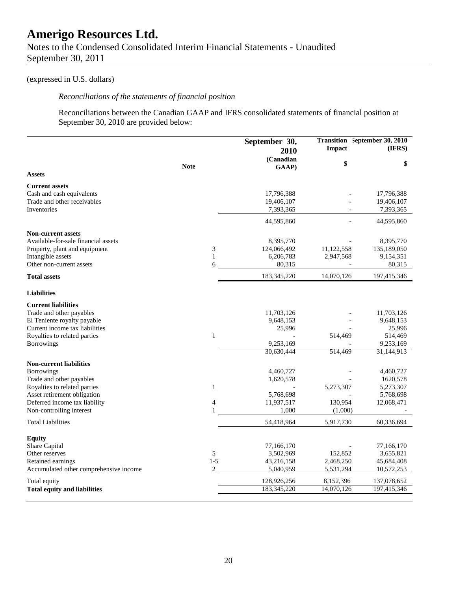Notes to the Condensed Consolidated Interim Financial Statements - Unaudited September 30, 2011

## (expressed in U.S. dollars)

## *Reconciliations of the statements of financial position*

Reconciliations between the Canadian GAAP and IFRS consolidated statements of financial position at September 30, 2010 are provided below:

|                                                             |                | September 30,<br>2010   | <b>Impact</b>          | Transition September 30, 2010<br>(IFRS) |
|-------------------------------------------------------------|----------------|-------------------------|------------------------|-----------------------------------------|
|                                                             | <b>Note</b>    | (Canadian<br>GAAP)      | \$                     | \$                                      |
| <b>Assets</b>                                               |                |                         |                        |                                         |
| <b>Current assets</b>                                       |                |                         |                        |                                         |
| Cash and cash equivalents                                   |                | 17,796,388              |                        | 17,796,388                              |
| Trade and other receivables                                 |                | 19,406,107              |                        | 19,406,107                              |
| <b>Inventories</b>                                          |                | 7,393,365               |                        | 7,393,365                               |
|                                                             |                | 44,595,860              |                        | 44,595,860                              |
| <b>Non-current assets</b>                                   |                |                         |                        |                                         |
| Available-for-sale financial assets                         |                | 8,395,770               |                        | 8,395,770                               |
| Property, plant and equipment                               | 3              | 124,066,492             | 11,122,558             | 135,189,050                             |
| Intangible assets                                           | $\mathbf{1}$   | 6,206,783               | 2,947,568              | 9,154,351                               |
| Other non-current assets                                    | 6              | 80,315                  |                        | 80,315                                  |
| <b>Total assets</b>                                         |                | 183,345,220             | 14,070,126             | 197,415,346                             |
| <b>Liabilities</b>                                          |                |                         |                        |                                         |
| <b>Current liabilities</b>                                  |                |                         |                        |                                         |
| Trade and other payables                                    |                | 11,703,126              |                        | 11,703,126                              |
| El Teniente royalty payable                                 |                | 9,648,153               |                        | 9,648,153                               |
| Current income tax liabilities                              |                | 25,996                  |                        | 25,996                                  |
| Royalties to related parties                                | $\mathbf{1}$   |                         | 514,469                | 514,469                                 |
| <b>Borrowings</b>                                           |                | 9,253,169               |                        | 9,253,169                               |
|                                                             |                | 30,630,444              | 514,469                | $\overline{31,}144,913$                 |
| <b>Non-current liabilities</b>                              |                |                         |                        |                                         |
| Borrowings                                                  |                | 4,460,727               |                        | 4,460,727                               |
| Trade and other payables                                    |                | 1,620,578               |                        | 1620,578                                |
| Royalties to related parties<br>Asset retirement obligation | $\mathbf{1}$   | 5,768,698               | 5,273,307              | 5,273,307<br>5,768,698                  |
| Deferred income tax liability                               | 4              | 11,937,517              | 130,954                | 12,068,471                              |
| Non-controlling interest                                    | $\mathbf{1}$   | 1,000                   | (1,000)                |                                         |
| <b>Total Liabilities</b>                                    |                | 54,418,964              | 5,917,730              | 60,336,694                              |
|                                                             |                |                         |                        |                                         |
| <b>Equity</b>                                               |                |                         |                        |                                         |
| Share Capital                                               |                | 77,166,170              |                        | 77,166,170                              |
| Other reserves                                              | 5<br>$1 - 5$   | 3,502,969               | 152,852                | 3,655,821                               |
| Retained earnings<br>Accumulated other comprehensive income | $\overline{c}$ | 43,216,158<br>5,040,959 | 2,468,250<br>5,531,294 | 45,684,408<br>10,572,253                |
| Total equity                                                |                | 128,926,256             | 8,152,396              | 137,078,652                             |
| <b>Total equity and liabilities</b>                         |                | 183,345,220             | 14,070,126             | 197,415,346                             |
|                                                             |                |                         |                        |                                         |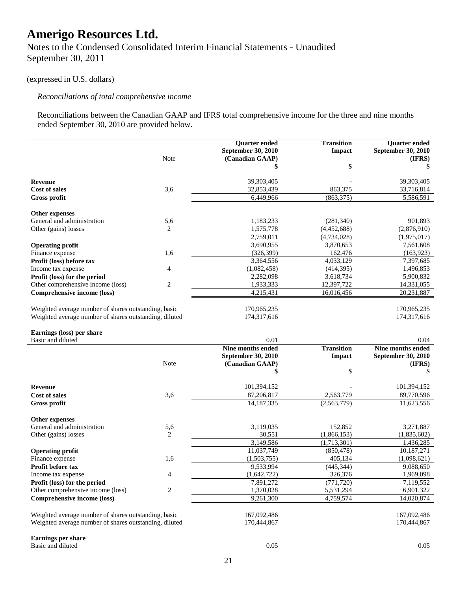Notes to the Condensed Consolidated Interim Financial Statements - Unaudited September 30, 2011

## (expressed in U.S. dollars)

## *Reconciliations of total comprehensive income*

Reconciliations between the Canadian GAAP and IFRS total comprehensive income for the three and nine months ended September 30, 2010 are provided below.

|                                                        |                | Quarter ended<br>September 30, 2010 | <b>Transition</b><br>Impact | Quarter ended<br>September 30, 2010 |
|--------------------------------------------------------|----------------|-------------------------------------|-----------------------------|-------------------------------------|
|                                                        | Note           | (Canadian GAAP)                     | \$                          | (IFRS)<br>\$                        |
|                                                        |                |                                     |                             |                                     |
| <b>Revenue</b>                                         |                | 39,303,405                          |                             | 39,303,405                          |
| <b>Cost of sales</b>                                   | 3,6            | 32,853,439                          | 863,375                     | 33,716,814                          |
| <b>Gross profit</b>                                    |                | 6,449,966                           | (863, 375)                  | 5,586,591                           |
| <b>Other expenses</b>                                  |                |                                     |                             |                                     |
| General and administration                             | 5,6            | 1,183,233                           | (281, 340)                  | 901.893                             |
| Other (gains) losses                                   | 2              | 1,575,778                           | (4,452,688)                 | (2,876,910)                         |
|                                                        |                | 2,759,011                           | (4,734,028)                 | (1,975,017)                         |
| <b>Operating profit</b>                                |                | 3,690,955                           | 3,870,653                   | 7,561,608                           |
| Finance expense                                        | 1,6            | (326, 399)                          | 162,476                     | (163, 923)                          |
| Profit (loss) before tax                               |                | 3,364,556                           | 4,033,129                   | 7,397,685                           |
| Income tax expense                                     | 4              | (1,082,458)                         | (414, 395)                  | 1,496,853                           |
| Profit (loss) for the period                           |                | 2,282,098                           | 3.618,734                   | 5,900,832                           |
| Other comprehensive income (loss)                      | 2              | 1,933,333                           | 12,397,722                  | 14,331,055                          |
| Comprehensive income (loss)                            |                | 4,215,431                           | 16,016,456                  | 20,231,887                          |
|                                                        |                |                                     |                             |                                     |
| Weighted average number of shares outstanding, basic   |                | 170,965,235                         |                             | 170,965,235                         |
| Weighted average number of shares outstanding, diluted |                | 174,317,616                         |                             | 174,317,616                         |
| Earnings (loss) per share                              |                |                                     |                             |                                     |
| Basic and diluted                                      |                | 0.01                                |                             | 0.04                                |
|                                                        |                | Nine months ended                   | <b>Transition</b>           | Nine months ended                   |
|                                                        |                | September 30, 2010                  | <b>Impact</b>               | September 30, 2010                  |
|                                                        | Note           | (Canadian GAAP)                     |                             | (IFRS)                              |
|                                                        |                | \$                                  | \$                          | \$                                  |
| <b>Revenue</b>                                         |                | 101,394,152                         |                             | 101,394,152                         |
| <b>Cost of sales</b>                                   | 3,6            | 87,206,817                          | 2,563,779                   | 89,770,596                          |
| <b>Gross profit</b>                                    |                | 14,187,335                          | (2,563,779)                 | 11,623,556                          |
|                                                        |                |                                     |                             |                                     |
| Other expenses                                         |                |                                     |                             |                                     |
| General and administration<br>Other (gains) losses     | 5,6<br>2       | 3,119,035<br>30,551                 | 152,852<br>(1,866,153)      | 3,271,887<br>(1,835,602)            |
|                                                        |                | 3,149,586                           | (1,713,301)                 | 1,436,285                           |
|                                                        |                | 11,037,749                          | (850, 478)                  | 10,187,271                          |
| <b>Operating profit</b><br>Finance expense             | 1,6            | (1,503,755)                         | 405,134                     | (1,098,621)                         |
| Profit before tax                                      |                | 9,533,994                           | (445, 344)                  | 9,088,650                           |
| Income tax expense                                     | 4              | (1,642,722)                         | 326,376                     | 1,969,098                           |
| Profit (loss) for the period                           |                | 7,891,272                           | (771, 720)                  | 7,119,552                           |
| Other comprehensive income (loss)                      | $\overline{c}$ | 1,370,028                           | 5,531,294                   | 6,901,322                           |
| <b>Comprehensive income (loss)</b>                     |                | 9,261,300                           | 4,759,574                   | 14,020,874                          |
|                                                        |                |                                     |                             |                                     |
| Weighted average number of shares outstanding, basic   |                | 167,092,486                         |                             | 167,092,486                         |
| Weighted average number of shares outstanding, diluted |                | 170,444,867                         |                             | 170,444,867                         |
| Earnings per share                                     |                |                                     |                             |                                     |
| Basic and diluted                                      |                | 0.05                                |                             | 0.05                                |